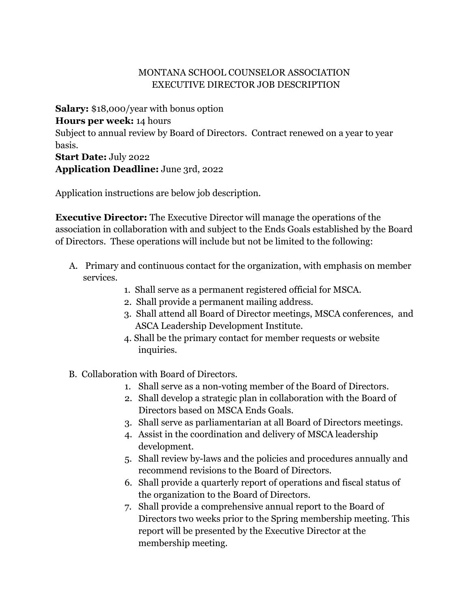## MONTANA SCHOOL COUNSELOR ASSOCIATION EXECUTIVE DIRECTOR JOB DESCRIPTION

**Salary:** \$18,000/year with bonus option **Hours per week:** 14 hours Subject to annual review by Board of Directors. Contract renewed on a year to year basis. **Start Date:** July 2022

**Application Deadline:** June 3rd, 2022

Application instructions are below job description.

**Executive Director:** The Executive Director will manage the operations of the association in collaboration with and subject to the Ends Goals established by the Board of Directors. These operations will include but not be limited to the following:

- A. Primary and continuous contact for the organization, with emphasis on member services.
	- 1. Shall serve as a permanent registered official for MSCA.
	- 2. Shall provide a permanent mailing address.
	- 3. Shall attend all Board of Director meetings, MSCA conferences, and ASCA Leadership Development Institute.
	- 4. Shall be the primary contact for member requests or website inquiries.
- B. Collaboration with Board of Directors.
	- 1. Shall serve as a non-voting member of the Board of Directors.
	- 2. Shall develop a strategic plan in collaboration with the Board of Directors based on MSCA Ends Goals.
	- 3. Shall serve as parliamentarian at all Board of Directors meetings.
	- 4. Assist in the coordination and delivery of MSCA leadership development.
	- 5. Shall review by-laws and the policies and procedures annually and recommend revisions to the Board of Directors.
	- 6. Shall provide a quarterly report of operations and fiscal status of the organization to the Board of Directors.
	- 7. Shall provide a comprehensive annual report to the Board of Directors two weeks prior to the Spring membership meeting. This report will be presented by the Executive Director at the membership meeting.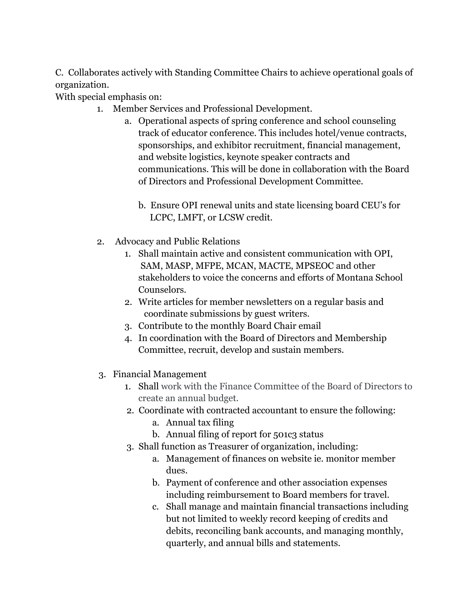C. Collaborates actively with Standing Committee Chairs to achieve operational goals of organization.

With special emphasis on:

- 1. Member Services and Professional Development.
	- a. Operational aspects of spring conference and school counseling track of educator conference. This includes hotel/venue contracts, sponsorships, and exhibitor recruitment, financial management, and website logistics, keynote speaker contracts and communications. This will be done in collaboration with the Board of Directors and Professional Development Committee.
		- b. Ensure OPI renewal units and state licensing board CEU's for LCPC, LMFT, or LCSW credit.
- 2. Advocacy and Public Relations
	- 1. Shall maintain active and consistent communication with OPI, SAM, MASP, MFPE, MCAN, MACTE, MPSEOC and other stakeholders to voice the concerns and efforts of Montana School Counselors.
	- 2. Write articles for member newsletters on a regular basis and coordinate submissions by guest writers.
	- 3. Contribute to the monthly Board Chair email
	- 4. In coordination with the Board of Directors and Membership Committee, recruit, develop and sustain members.
- 3. Financial Management
	- 1. Shall work with the Finance Committee of the Board of Directors to create an annual budget.
	- 2. Coordinate with contracted accountant to ensure the following:
		- a. Annual tax filing
		- b. Annual filing of report for 501c3 status
	- 3. Shall function as Treasurer of organization, including:
		- a. Management of finances on website ie. monitor member dues.
		- b. Payment of conference and other association expenses including reimbursement to Board members for travel.
		- c. Shall manage and maintain financial transactions including but not limited to weekly record keeping of credits and debits, reconciling bank accounts, and managing monthly, quarterly, and annual bills and statements.